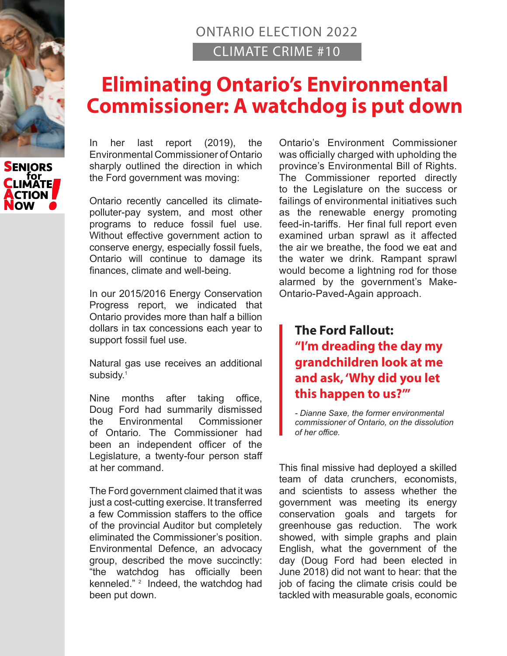## ONTARIO ELECTION 2022 CLIMATE CRIME #10

## **Eliminating Ontario's Environmental Commissioner: A watchdog is put down**



In her last report (2019), the Environmental Commissioner of Ontario sharply outlined the direction in which the Ford government was moving:

Ontario recently cancelled its climatepolluter-pay system, and most other programs to reduce fossil fuel use. Without effective government action to conserve energy, especially fossil fuels, Ontario will continue to damage its finances, climate and well-being.

In our 2015/2016 Energy Conservation Progress report, we indicated that Ontario provides more than half a billion dollars in tax concessions each year to support fossil fuel use.

Natural gas use receives an additional subsidy.<sup>1</sup>

Nine months after taking office, Doug Ford had summarily dismissed the Environmental Commissioner of Ontario. The Commissioner had been an independent officer of the Legislature, a twenty-four person staff at her command.

The Ford government claimed that it was just a cost-cutting exercise. It transferred a few Commission staffers to the office of the provincial Auditor but completely eliminated the Commissioner's position. Environmental Defence, an advocacy group, described the move succinctly: "the watchdog has officially been kenneled."<sup>2</sup> Indeed, the watchdog had been put down.

Ontario's Environment Commissioner was officially charged with upholding the province's Environmental Bill of Rights. The Commissioner reported directly to the Legislature on the success or failings of environmental initiatives such as the renewable energy promoting feed-in-tariffs. Her final full report even examined urban sprawl as it affected the air we breathe, the food we eat and the water we drink. Rampant sprawl would become a lightning rod for those alarmed by the government's Make-Ontario-Paved-Again approach.

## **The Ford Fallout: "I'm dreading the day my grandchildren look at me and ask, 'Why did you let this happen to us?'"**

*- Dianne Saxe, the former environmental commissioner of Ontario, on the dissolution of her office.*

This final missive had deployed a skilled team of data crunchers, economists, and scientists to assess whether the government was meeting its energy conservation goals and targets for greenhouse gas reduction. The work showed, with simple graphs and plain English, what the government of the day (Doug Ford had been elected in June 2018) did not want to hear: that the job of facing the climate crisis could be tackled with measurable goals, economic